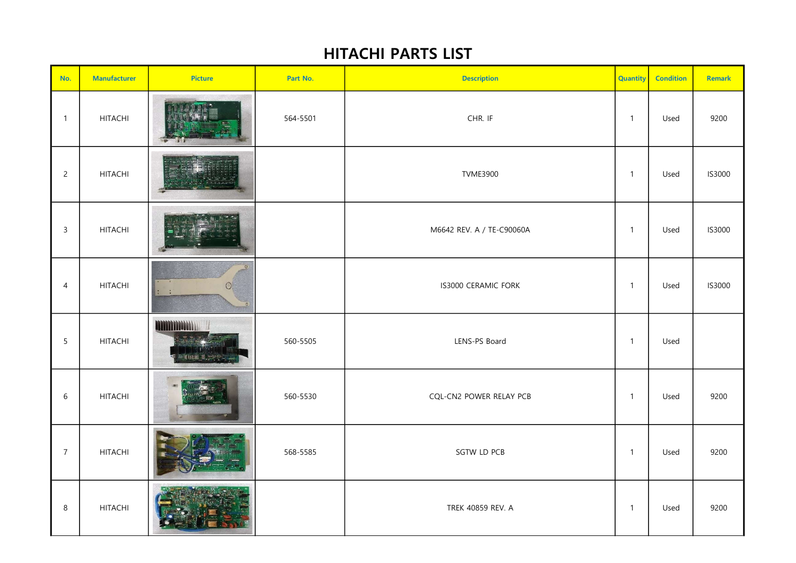## HITACHI PARTS LIST

| No.            | <b>Manufacturer</b> | <b>Picture</b>             | Part No. | <b>Description</b>        | <b>Quantity</b> | <b>Condition</b> | Remark |
|----------------|---------------------|----------------------------|----------|---------------------------|-----------------|------------------|--------|
| $\overline{1}$ | <b>HITACHI</b>      |                            | 564-5501 | CHR. IF                   | $\mathbf{1}$    | Used             | 9200   |
| $\overline{c}$ | <b>HITACHI</b>      |                            |          | <b>TVME3900</b>           | $\mathbf{1}$    | Used             | IS3000 |
| $\mathbf{3}$   | <b>HITACHI</b>      |                            |          | M6642 REV. A / TE-C90060A | $\mathbf{1}$    | Used             | IS3000 |
| $\overline{4}$ | <b>HITACHI</b>      | $\circ$                    |          | IS3000 CERAMIC FORK       | $\mathbf{1}$    | Used             | IS3000 |
| 5              | <b>HITACHI</b>      | <b>MANIMALIA</b><br>计自动时二层 | 560-5505 | LENS-PS Board             | $\mathbf{1}$    | Used             |        |
| $\sqrt{6}$     | <b>HITACHI</b>      |                            | 560-5530 | CQL-CN2 POWER RELAY PCB   | $\mathbf{1}$    | Used             | 9200   |
| $\overline{7}$ | <b>HITACHI</b>      |                            | 568-5585 | SGTW LD PCB               | $\mathbf{1}$    | Used             | 9200   |
| $\,8\,$        | <b>HITACHI</b>      |                            |          | TREK 40859 REV. A         | $\mathbf{1}$    | Used             | 9200   |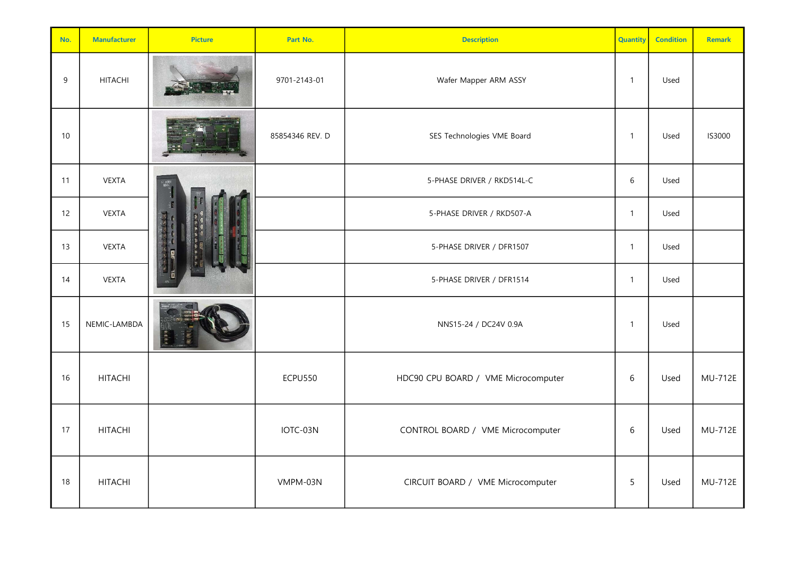| No.  | <b>Manufacturer</b> | <b>Picture</b> | Part No.        | <b>Description</b>                  | <b>Quantity</b> | <b>Condition</b> | <b>Remark</b>  |
|------|---------------------|----------------|-----------------|-------------------------------------|-----------------|------------------|----------------|
| 9    | <b>HITACHI</b>      |                | 9701-2143-01    | Wafer Mapper ARM ASSY               | $\overline{1}$  | Used             |                |
| $10$ |                     |                | 85854346 REV. D | SES Technologies VME Board          | $\overline{1}$  | Used             | IS3000         |
| 11   | <b>VEXTA</b>        |                |                 | 5-PHASE DRIVER / RKD514L-C          | $6\,$           | Used             |                |
| 12   | <b>VEXTA</b>        |                |                 | 5-PHASE DRIVER / RKD507-A           | $\overline{1}$  | Used             |                |
| 13   | <b>VEXTA</b>        |                |                 | 5-PHASE DRIVER / DFR1507            | $\mathbf{1}$    | Used             |                |
| 14   | <b>VEXTA</b>        |                |                 | 5-PHASE DRIVER / DFR1514            | $\overline{1}$  | Used             |                |
| 15   | NEMIC-LAMBDA        |                |                 | NNS15-24 / DC24V 0.9A               | $\overline{1}$  | Used             |                |
| 16   | <b>HITACHI</b>      |                | <b>ECPU550</b>  | HDC90 CPU BOARD / VME Microcomputer | $6\,$           | Used             | <b>MU-712E</b> |
| 17   | <b>HITACHI</b>      |                | IOTC-03N        | CONTROL BOARD / VME Microcomputer   | $6\,$           | Used             | <b>MU-712E</b> |
| 18   | <b>HITACHI</b>      |                | VMPM-03N        | CIRCUIT BOARD / VME Microcomputer   | 5               | Used             | <b>MU-712E</b> |